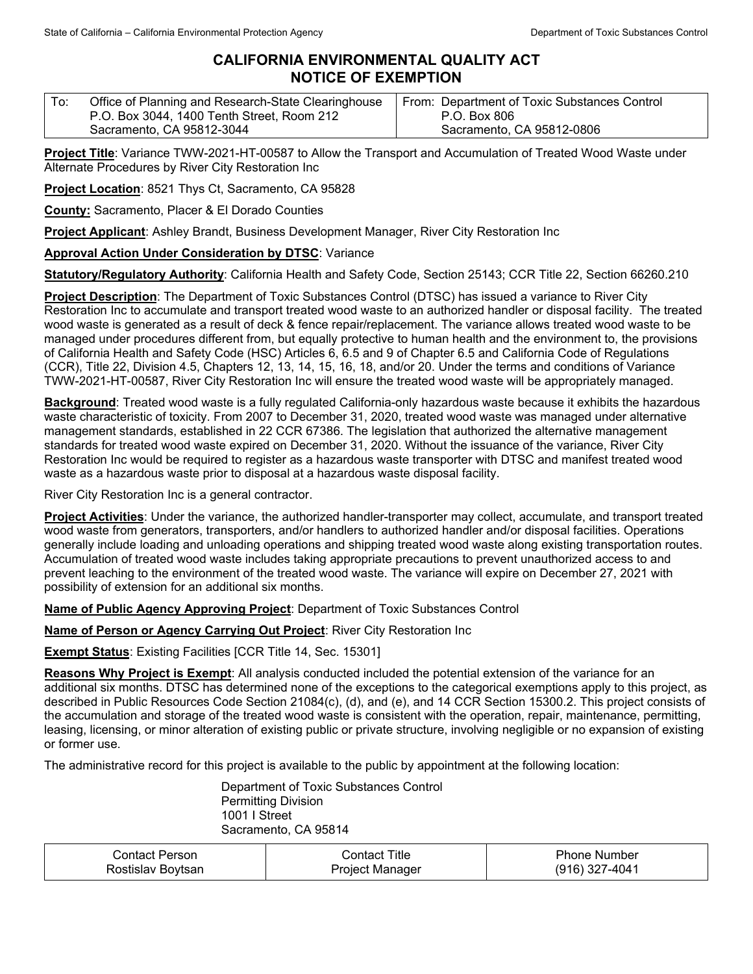## **CALIFORNIA ENVIRONMENTAL QUALITY ACT NOTICE OF EXEMPTION**

| Office of Planning and Research-State Clearinghouse | From: Department of Toxic Substances Control |
|-----------------------------------------------------|----------------------------------------------|
| P.O. Box 3044, 1400 Tenth Street, Room 212          | P.O. Box 806                                 |
| Sacramento, CA 95812-3044                           | Sacramento, CA 95812-0806                    |

**Project Title**: Variance TWW-2021-HT-00587 to Allow the Transport and Accumulation of Treated Wood Waste under Alternate Procedures by River City Restoration Inc

**Project Location**: 8521 Thys Ct, Sacramento, CA 95828

**County:** Sacramento, Placer & El Dorado Counties

**Project Applicant**: Ashley Brandt, Business Development Manager, River City Restoration Inc

## **Approval Action Under Consideration by DTSC**: Variance

**Statutory/Regulatory Authority**: California Health and Safety Code, Section 25143; CCR Title 22, Section 66260.210

**Project Description**: The Department of Toxic Substances Control (DTSC) has issued a variance to River City Restoration Inc to accumulate and transport treated wood waste to an authorized handler or disposal facility. The treated wood waste is generated as a result of deck & fence repair/replacement. The variance allows treated wood waste to be managed under procedures different from, but equally protective to human health and the environment to, the provisions of California Health and Safety Code (HSC) Articles 6, 6.5 and 9 of Chapter 6.5 and California Code of Regulations (CCR), Title 22, Division 4.5, Chapters 12, 13, 14, 15, 16, 18, and/or 20. Under the terms and conditions of Variance TWW-2021-HT-00587, River City Restoration Inc will ensure the treated wood waste will be appropriately managed.

**Background**: Treated wood waste is a fully regulated California-only hazardous waste because it exhibits the hazardous waste characteristic of toxicity. From 2007 to December 31, 2020, treated wood waste was managed under alternative management standards, established in 22 CCR 67386. The legislation that authorized the alternative management standards for treated wood waste expired on December 31, 2020. Without the issuance of the variance, River City Restoration Inc would be required to register as a hazardous waste transporter with DTSC and manifest treated wood waste as a hazardous waste prior to disposal at a hazardous waste disposal facility.

River City Restoration Inc is a general contractor.

**Project Activities**: Under the variance, the authorized handler-transporter may collect, accumulate, and transport treated wood waste from generators, transporters, and/or handlers to authorized handler and/or disposal facilities. Operations generally include loading and unloading operations and shipping treated wood waste along existing transportation routes. Accumulation of treated wood waste includes taking appropriate precautions to prevent unauthorized access to and prevent leaching to the environment of the treated wood waste. The variance will expire on December 27, 2021 with possibility of extension for an additional six months.

**Name of Public Agency Approving Project**: Department of Toxic Substances Control

**Name of Person or Agency Carrying Out Project**: River City Restoration Inc

**Exempt Status**: Existing Facilities [CCR Title 14, Sec. 15301]

**Reasons Why Project is Exempt**: All analysis conducted included the potential extension of the variance for an additional six months. DTSC has determined none of the exceptions to the categorical exemptions apply to this project, as described in Public Resources Code Section 21084(c), (d), and (e), and 14 CCR Section 15300.2. This project consists of the accumulation and storage of the treated wood waste is consistent with the operation, repair, maintenance, permitting, leasing, licensing, or minor alteration of existing public or private structure, involving negligible or no expansion of existing or former use.

The administrative record for this project is available to the public by appointment at the following location:

Department of Toxic Substances Control Permitting Division 1001 I Street Sacramento, CA 95814

| Contact Person    | شontact Title   | Phone Number     |
|-------------------|-----------------|------------------|
| Rostislav Bovtsan | Project Manager | $(916)$ 327-4041 |